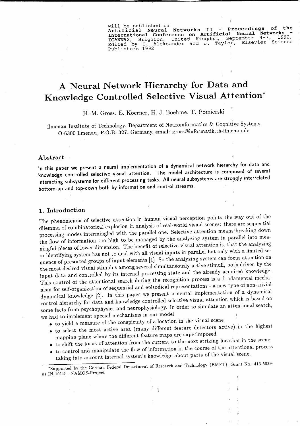will be published in<br>Artificial Neural Networks II - Proceedings of the International Conference on Artificial Neural Networks ICANN92, Brighton, United Kingdom, September 4-7, 1992, Edlted by 1. Aleksander and J. Taylor, Elsevier Science Publishers 1992

# **A Neural Network Hierarehy for Data and Knowledge Controlled Seleetive Visual Attention\***

H.-M. Gross, E. Koerner, H.-J. Boehme, T. Pomierski

llmenau Institute of Technology, Department of Neuroinformatics & Cognitive Systems 0-6300 llmenau, P.O.B. 327, Germany, email: [gross@informatik.th-ilmenau.de](mailto:gross@informatik.th-ilmenau.de)

#### Abstract

In this paper we present a neural implementation of a dynamical network hierarchy for data and knowledge controlled selective visual attention. The model architecture is composed of several interacting subsystems for different processing tasks. All neural subsystems are strongly interrelated bottom-up and top-down both by information and control streams.

### 1. Introduetion

The phenomenon of selective attention in human visual perception points the iway out of the dilemma of combinatorical explosion in analysis of real-world visual scenes: there are sequential processing modes intermingled with the parallel one. Selective attention means breaking down the flow of information too high to be managed by the analyzing system in parallel into meaningful pieces of lower dimension. The benefit of selective visual attention is, that the analyzing or identifying system has not to deal with all visual inputs in parallel but only with a limited sequence of presorted groups of input elements [1]. So the analyzing system can focus attention on the most desired visual stimulus among several simultaneously active stimuli, both driven by the input data and controlled by its internal processing state and the already acquired knowledge. This control of the attentional search during the recognition process is a fundamental mechanism for self-organization of sequential and episodical representations - a new type of non-trivial dynamical knowledge [2]. In this paper we present a neural implementation of a dynamical control hierarchy for data and knowledge controlled selective visual attention which is based on some facts from psychophysics and neurophysiology. In order to simulate an attentional search, we had to implement special mechanisms in our model

• to yield a measure of the conspicuity of a location in the visual scene

- to select the most active area (many different feature detectors active) in the highest mapping plane where the different feature maps are superimposed
- $\bullet$  to shift the focus of attention from the current to the next striking location in the scene
- to control and manipulate the fiow of information in the course of the attentional process taking into account internal system's knowledge about parts of the visual scene.

'Supported by the German Federal Department of Research and Technology (BMFT), Grant No. 413-5839- 01 IN 101D - NAMOS-Project

1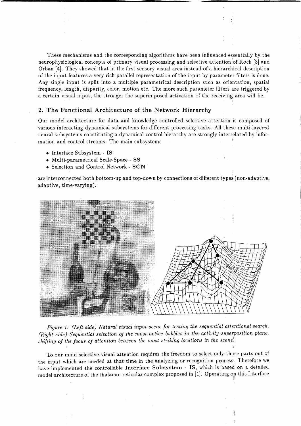These mechanisms and the corresponding algorithms have been influenced essentially by the neurophysiological concepts of primary visual processing and selective attention 'of Koch [3] and Orban [4]. They showed that in the first sensory visual area instead of a hierarchical description of the input features a very rich parallel representation of the input by parameter filters is done. Any single input is split into a multiple parametrical description such as orientation, spatial frequency, length, disparity, color, motion etc. The more such parameter filters are triggered by a certain visual input, the stronger the superimposed activation of the receiving area will be.

#### 2. The Functional Architecture of the Network Hierarchy

Our model architecture for data and knowledge controlled selective attention is composed of various interacting dynamical subsystems for different processing tasks. All these multi-Iayered neural subsystems constituting a dynamical control hierarchy are strongly interrelated by information and control streams. The main subsystems

- Interface Subsystem IS
- Multi-parametrical Scale-Space SS
- Selection and Control Network SCN

are interconnected both bottom-up and top-down by connections of different types (non-adaptive, adaptive, time-varying).



*Figure* 1: *(Left side) Natural visual input scene for testing the sequential attentional search. (Right side) Sequential selection of the most active bubbles in the activity superposition plane, shifting of the focus of attention between the most striking locations in the scene~*

To our mind selective visual attention requires the freedom to select only those parts out of the input which are needed at that time in the analyzing or recognition process. Therefore we have implemented the controllable Interface Subsystem - IS, which is based on a detailed model architecture of the thalamo- reticular complex proposed in [1]. Operating on this Interface

li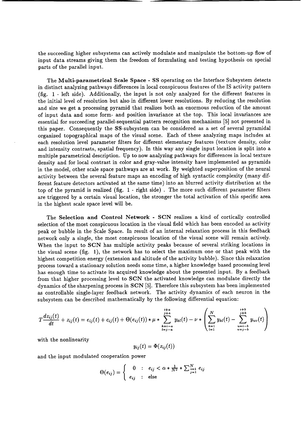the succeeding higher subsystems can actively modulate and manipulate the bottom-up flow of input data streams giving them the freedom of formulating and testing hypothesis on special parts of the parallel input.

The **Multi-parametrieal Seale Spaee - SS** operating on the Interface Subsystem detects in distinct analyzing pathways differences in local conspicuous features of the IS activity pattern (fig. 1 - left side). Additionally, the input is not only analyzed for the different features in the initial level of resolution but also in different lower resolutions. By reducing the resolution and size we get a processing pyramid that realizes both an enormous reduction of the amount of input data and some form- and position invariance at the top. This local invariances are essential for succeeding parallel-sequential pattern recognition mechanisms [5] not presented in this paper. Consequently the SS-subsystem can be considered as a set of several pyramidal organized topographical maps of the visual scene. Each of these analyzing maps includes at each resolution level parameter filters for different elementary features (texture density, color and intensity contrasts, spatial frequency). In this way any single input location is split into a multiple parametrical description. Up to now analyzing pathways for differences in local texture density and for local contrast in color and gray-value intensity have implemented as pyramids in the model, other scale space pathways are at work. By weighted superposition of the neural activity between the several feature maps an encoding of high syntactic complexity (many different feature detectors activated at the same time) into an blurred activity distribution at the top of the pyramid is realized (fig. 1 - right side) . The more such different parameter filters are triggered by a certain visual location, the stronger the total activation of this specific area in the highest scale space level will be.

The **Seleetion and Control Network - SCN** realizes a kind of cortically controlled selection of the most conspicuous location in the visual field which has been encoded as activity peak or bubble in the Scale Space. In result of an internal relaxation process in this feedback network only a single, the most conspicuous location of the visual scene will remain actively. When the input to **SCN** has multiple activity peaks because of several striking locations in the visual scene (fig. 1), the network has to select the maximum one or that peak with the highest competition energy (extension and altitude of the activity bubble). Since this relaxation process toward a stationary solution needs some time, a higher knowledge based processing level has enough time to activate its acquired knowledge about the presented input. By a feedback from that higher processing level to **SCN** the activated knowledge can modulate directly the dynamics of the sharpening process in **SCN** [5]. Therefore this subsystem has been implemented as controllable single-Iayer feedback network. The activity dynamics of each neuron in the subsystem can be described mathematically by the following differential equation:

$$
T\frac{dz_{ij}(t)}{dt} + z_{ij}(t) = e_{ij}(t) + c_{ij}(t) + \Theta(e_{ij}(t)) * \mu * \sum_{\substack{k=i-a \ k=i-a}}^{i+a} y_{kl}(t) - \nu * \left(\sum_{\substack{k=1 \ k=1}}^N y_{kl}(t) - \sum_{\substack{u=i-b \ v=j-b}}^{i+b} y_{uv}(t)\right)
$$

with the nonlinearity

$$
y_{ij}(t) = \Phi(z_{ij}(t))
$$

and the input modulated cooperation power

$$
\Theta(e_{ij}) = \begin{cases}\n0 & \text{: } e_{ij} < \alpha * \frac{1}{N^2} * \sum_{j=1}^N e_{ij} \\
e_{ij} & \text{: } else\n\end{cases}
$$